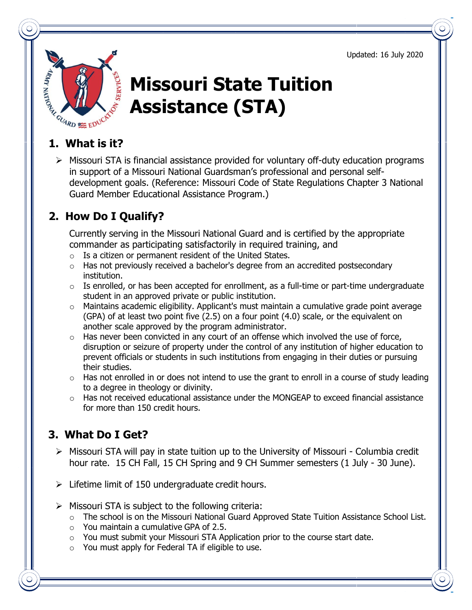Updated: 16 July 2020



# **Missouri State Tuition Assistance (STA)**

 $\triangleright$  Missouri STA is financial assistance provided for voluntary off-duty education programs in support of a Missouri National Guardsman's professional and personal selfdevelopment goals. (Reference: Missouri Code of State Regulations Chapter 3 National Guard Member Educational Assistance Program.)

### **2. How Do I Qualify?**

Currently serving in the Missouri National Guard and is certified by the appropriate commander as participating satisfactorily in required training, and

- o Is a citizen or permanent resident of the United States.
- o Has not previously received a bachelor's degree from an accredited postsecondary institution.
- $\circ$  Is enrolled, or has been accepted for enrollment, as a full-time or part-time undergraduate student in an approved private or public institution.
- o Maintains academic eligibility. Applicant's must maintain a cumulative grade point average (GPA) of at least two point five (2.5) on a four point (4.0) scale, or the equivalent on another scale approved by the program administrator.
- $\circ$  Has never been convicted in any court of an offense which involved the use of force, disruption or seizure of property under the control of any institution of higher education to prevent officials or students in such institutions from engaging in their duties or pursuing their studies.
- $\circ$  Has not enrolled in or does not intend to use the grant to enroll in a course of study leading to a degree in theology or divinity.
- $\circ$  Has not received educational assistance under the MONGEAP to exceed financial assistance for more than 150 credit hours.

#### **3. What Do I Get?**

- $\triangleright$  Missouri STA will pay in state tuition up to the University of Missouri Columbia credit hour rate. 15 CH Fall, 15 CH Spring and 9 CH Summer semesters (1 July - 30 June).
- $\triangleright$  Lifetime limit of 150 undergraduate credit hours.
- $\triangleright$  Missouri STA is subject to the following criteria:
	- o The school is on the Missouri National Guard Approved State Tuition Assistance School List.
	- $\circ$  You maintain a cumulative GPA of 2.5.
	- o You must submit your Missouri STA Application prior to the course start date.
	- o You must apply for Federal TA if eligible to use.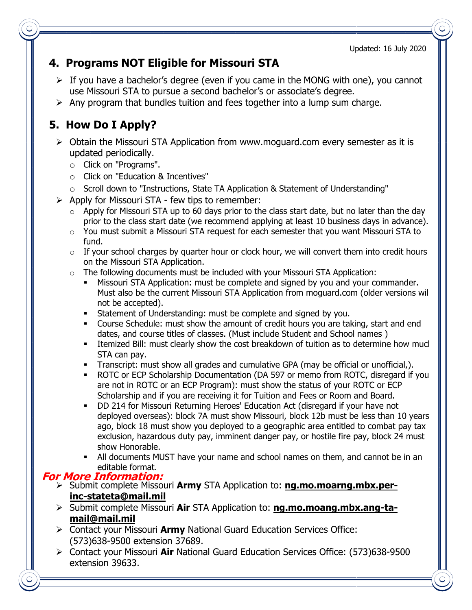Updated: 16 July 2020

### **4. Programs NOT Eligible for Missouri STA**

- $\triangleright$  If you have a bachelor's degree (even if you came in the MONG with one), you cannot use Missouri STA to pursue a second bachelor's or associate's degree.
- $\triangleright$  Any program that bundles tuition and fees together into a lump sum charge.

## **5. How Do I Apply?**

- $\triangleright$  Obtain the Missouri STA Application from www.moguard.com every semester as it is updated periodically.
	- o Click on "Programs".
	- o Click on "Education & Incentives"
	- $\circ$  Scroll down to "Instructions, State TA Application & Statement of Understanding"
- $\triangleright$  Apply for Missouri STA few tips to remember:
	- $\circ$  Apply for Missouri STA up to 60 days prior to the class start date, but no later than the day prior to the class start date (we recommend applying at least 10 business days in advance).
	- $\circ$  You must submit a Missouri STA request for each semester that you want Missouri STA to fund.
	- $\circ$  If your school charges by quarter hour or clock hour, we will convert them into credit hours on the Missouri STA Application.
	- o The following documents must be included with your Missouri STA Application:
		- Missouri STA Application: must be complete and signed by you and your commander. Must also be the current Missouri STA Application from moguard.com (older versions will not be accepted).
		- **Statement of Understanding: must be complete and signed by you.**
		- Course Schedule: must show the amount of credit hours you are taking, start and end dates, and course titles of classes. (Must include Student and School names )
		- Itemized Bill: must clearly show the cost breakdown of tuition as to determine how much STA can pay.
		- **Transcript: must show all grades and cumulative GPA (may be official or unofficial,).**
		- ROTC or ECP Scholarship Documentation (DA 597 or memo from ROTC, disregard if you are not in ROTC or an ECP Program): must show the status of your ROTC or ECP Scholarship and if you are receiving it for Tuition and Fees or Room and Board.
		- DD 214 for Missouri Returning Heroes' Education Act (disregard if your have not deployed overseas): block 7A must show Missouri, block 12b must be less than 10 years ago, block 18 must show you deployed to a geographic area entitled to combat pay tax exclusion, hazardous duty pay, imminent danger pay, or hostile fire pay, block 24 must show Honorable.
		- All documents MUST have your name and school names on them, and cannot be in an editable format.

#### **For More Information:**

- Submit complete Missouri **Army** STA Application to: **ng.mo.moarng.mbx.perinc-stateta@mail.mil**
- Submit complete Missouri **Air** STA Application to: **ng.mo.moang.mbx.ang-tamail@mail.mil**
- Contact your Missouri **Army** National Guard Education Services Office: (573)638-9500 extension 37689.
- Contact your Missouri **Air** National Guard Education Services Office: (573)638-9500 extension 39633.